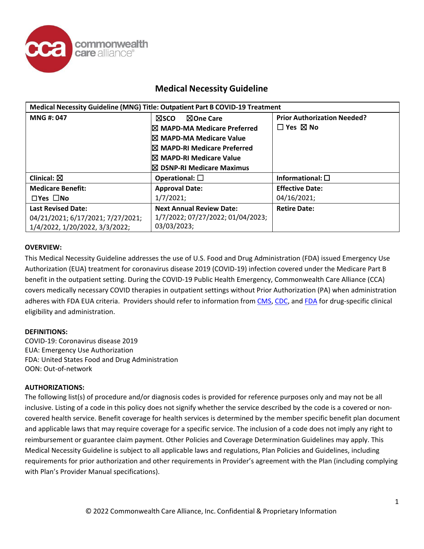

## **Medical Necessity Guideline**

| Medical Necessity Guideline (MNG) Title: Outpatient Part B COVID-19 Treatment                    |                                                                                                                                                                                                                         |                                                                 |
|--------------------------------------------------------------------------------------------------|-------------------------------------------------------------------------------------------------------------------------------------------------------------------------------------------------------------------------|-----------------------------------------------------------------|
| MNG #: 047                                                                                       | ⊠sco<br><b>NOne Care</b><br>$\boxtimes$ MAPD-MA Medicare Preferred<br>$\boxtimes$ MAPD-MA Medicare Value<br>$\boxtimes$ MAPD-RI Medicare Preferred<br>I⊠ MAPD-RI Medicare Value<br>$\boxtimes$ DSNP-RI Medicare Maximus | <b>Prior Authorization Needed?</b><br>$\Box$ Yes $\boxtimes$ No |
| Clinical: $\boxtimes$                                                                            | Operational: $\square$                                                                                                                                                                                                  | Informational: $\square$                                        |
| <b>Medicare Benefit:</b>                                                                         | <b>Approval Date:</b>                                                                                                                                                                                                   | <b>Effective Date:</b>                                          |
| $\Box$ Yes $\Box$ No                                                                             | 1/7/2021;                                                                                                                                                                                                               | 04/16/2021;                                                     |
| <b>Last Revised Date:</b><br>04/21/2021; 6/17/2021; 7/27/2021;<br>1/4/2022, 1/20/2022, 3/3/2022; | <b>Next Annual Review Date:</b><br>1/7/2022; 07/27/2022; 01/04/2023;<br>03/03/2023;                                                                                                                                     | <b>Retire Date:</b>                                             |

## **OVERVIEW:**

This Medical Necessity Guideline addresses the use of U.S. Food and Drug Administration (FDA) issued Emergency Use Authorization (EUA) treatment for coronavirus disease 2019 (COVID-19) infection covered under the Medicare Part B benefit in the outpatient setting. During the COVID-19 Public Health Emergency, Commonwealth Care Alliance (CCA) covers medically necessary COVID therapies in outpatient settings without Prior Authorization (PA) when administration adheres with FDA EUA criteria. Providers should refer to information fro[m CMS,](https://www.cms.gov/monoclonal) [CDC,](https://www.cdc.gov/coronavirus/2019-ncov/your-health/treatments-for-severe-illness.html?CDC_AA_refVal=https%3A%2F%2Fwww.cdc.gov%2Fcoronavirus%2F2019-ncov%2Fhcp%2Ftherapeutic-options.html) and [FDA](https://www.fda.gov/emergency-preparedness-and-response/mcm-legal-regulatory-and-policy-framework/emergency-use-authorization#coviddrugs) for drug-specific clinical eligibility and administration.

## **DEFINITIONS:**

COVID-19: Coronavirus disease 2019 EUA: Emergency Use Authorization FDA: United States Food and Drug Administration OON: Out-of-network

#### **AUTHORIZATIONS:**

The following list(s) of procedure and/or diagnosis codes is provided for reference purposes only and may not be all inclusive. Listing of a code in this policy does not signify whether the service described by the code is a covered or noncovered health service. Benefit coverage for health services is determined by the member specific benefit plan document and applicable laws that may require coverage for a specific service. The inclusion of a code does not imply any right to reimbursement or guarantee claim payment. Other Policies and Coverage Determination Guidelines may apply. This Medical Necessity Guideline is subject to all applicable laws and regulations, Plan Policies and Guidelines, including requirements for prior authorization and other requirements in Provider's agreement with the Plan (including complying with Plan's Provider Manual specifications).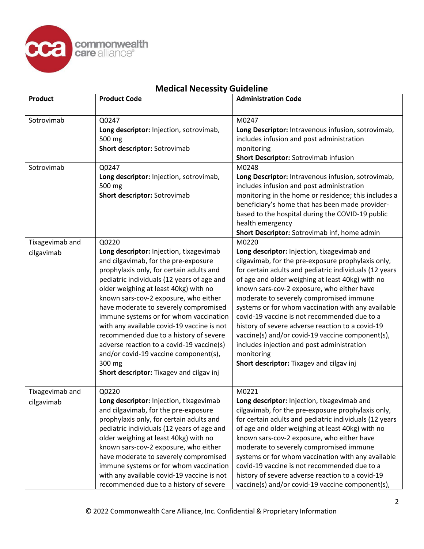

| <b>Medical Necessity Guideline</b> |
|------------------------------------|
|------------------------------------|

| <b>Product</b>  | <b>Product Code</b>                                                                                                                                                                                                                                                                                                                                                                                                                                                                                                                                                                | <b>Administration Code</b>                                                                                                                                                                                                                                                                                                                                                                                                                                                                                                                                                                                                     |
|-----------------|------------------------------------------------------------------------------------------------------------------------------------------------------------------------------------------------------------------------------------------------------------------------------------------------------------------------------------------------------------------------------------------------------------------------------------------------------------------------------------------------------------------------------------------------------------------------------------|--------------------------------------------------------------------------------------------------------------------------------------------------------------------------------------------------------------------------------------------------------------------------------------------------------------------------------------------------------------------------------------------------------------------------------------------------------------------------------------------------------------------------------------------------------------------------------------------------------------------------------|
| Sotrovimab      | Q0247<br>Long descriptor: Injection, sotrovimab,<br>500 mg<br>Short descriptor: Sotrovimab                                                                                                                                                                                                                                                                                                                                                                                                                                                                                         | M0247<br>Long Descriptor: Intravenous infusion, sotrovimab,<br>includes infusion and post administration<br>monitoring<br>Short Descriptor: Sotrovimab infusion                                                                                                                                                                                                                                                                                                                                                                                                                                                                |
| Sotrovimab      | Q0247<br>Long descriptor: Injection, sotrovimab,<br>500 mg<br>Short descriptor: Sotrovimab                                                                                                                                                                                                                                                                                                                                                                                                                                                                                         | M0248<br>Long Descriptor: Intravenous infusion, sotrovimab,<br>includes infusion and post administration<br>monitoring in the home or residence; this includes a<br>beneficiary's home that has been made provider-<br>based to the hospital during the COVID-19 public<br>health emergency<br>Short Descriptor: Sotrovimab inf, home admin                                                                                                                                                                                                                                                                                    |
| Tixagevimab and | Q0220                                                                                                                                                                                                                                                                                                                                                                                                                                                                                                                                                                              | M0220                                                                                                                                                                                                                                                                                                                                                                                                                                                                                                                                                                                                                          |
| cilgavimab      | Long descriptor: Injection, tixagevimab<br>and cilgavimab, for the pre-exposure<br>prophylaxis only, for certain adults and<br>pediatric individuals (12 years of age and<br>older weighing at least 40kg) with no<br>known sars-cov-2 exposure, who either<br>have moderate to severely compromised<br>immune systems or for whom vaccination<br>with any available covid-19 vaccine is not<br>recommended due to a history of severe<br>adverse reaction to a covid-19 vaccine(s)<br>and/or covid-19 vaccine component(s),<br>300 mg<br>Short descriptor: Tixagev and cilgav inj | Long descriptor: Injection, tixagevimab and<br>cilgavimab, for the pre-exposure prophylaxis only,<br>for certain adults and pediatric individuals (12 years<br>of age and older weighing at least 40kg) with no<br>known sars-cov-2 exposure, who either have<br>moderate to severely compromised immune<br>systems or for whom vaccination with any available<br>covid-19 vaccine is not recommended due to a<br>history of severe adverse reaction to a covid-19<br>vaccine(s) and/or covid-19 vaccine component(s),<br>includes injection and post administration<br>monitoring<br>Short descriptor: Tixagev and cilgav inj |
| Tixagevimab and | Q0220                                                                                                                                                                                                                                                                                                                                                                                                                                                                                                                                                                              | M0221                                                                                                                                                                                                                                                                                                                                                                                                                                                                                                                                                                                                                          |
| cilgavimab      | Long descriptor: Injection, tixagevimab<br>and cilgavimab, for the pre-exposure<br>prophylaxis only, for certain adults and<br>pediatric individuals (12 years of age and<br>older weighing at least 40kg) with no<br>known sars-cov-2 exposure, who either<br>have moderate to severely compromised<br>immune systems or for whom vaccination<br>with any available covid-19 vaccine is not                                                                                                                                                                                       | Long descriptor: Injection, tixagevimab and<br>cilgavimab, for the pre-exposure prophylaxis only,<br>for certain adults and pediatric individuals (12 years<br>of age and older weighing at least 40kg) with no<br>known sars-cov-2 exposure, who either have<br>moderate to severely compromised immune<br>systems or for whom vaccination with any available<br>covid-19 vaccine is not recommended due to a<br>history of severe adverse reaction to a covid-19                                                                                                                                                             |
|                 | recommended due to a history of severe                                                                                                                                                                                                                                                                                                                                                                                                                                                                                                                                             | vaccine(s) and/or covid-19 vaccine component(s),                                                                                                                                                                                                                                                                                                                                                                                                                                                                                                                                                                               |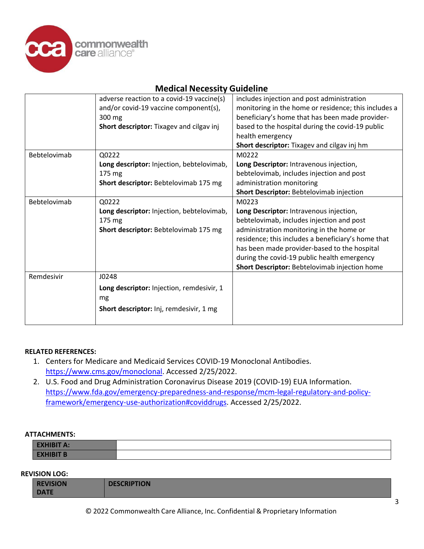

# **Medical Necessity Guideline**

|              | adverse reaction to a covid-19 vaccine(s) | includes injection and post administration           |
|--------------|-------------------------------------------|------------------------------------------------------|
|              | and/or covid-19 vaccine component(s),     | monitoring in the home or residence; this includes a |
|              | 300 mg                                    | beneficiary's home that has been made provider-      |
|              | Short descriptor: Tixagev and cilgav inj  | based to the hospital during the covid-19 public     |
|              |                                           | health emergency                                     |
|              |                                           | Short descriptor: Tixagev and cilgav inj hm          |
| Bebtelovimab | Q0222                                     | M0222                                                |
|              | Long descriptor: Injection, bebtelovimab, | Long Descriptor: Intravenous injection,              |
|              | 175 mg                                    | bebtelovimab, includes injection and post            |
|              | Short descriptor: Bebtelovimab 175 mg     | administration monitoring                            |
|              |                                           | Short Descriptor: Bebtelovimab injection             |
| Bebtelovimab | Q0222                                     | M0223                                                |
|              | Long descriptor: Injection, bebtelovimab, | Long Descriptor: Intravenous injection,              |
|              | 175 mg                                    | bebtelovimab, includes injection and post            |
|              | Short descriptor: Bebtelovimab 175 mg     | administration monitoring in the home or             |
|              |                                           | residence; this includes a beneficiary's home that   |
|              |                                           | has been made provider-based to the hospital         |
|              |                                           | during the covid-19 public health emergency          |
|              |                                           | Short Descriptor: Bebtelovimab injection home        |
| Remdesivir   | J0248                                     |                                                      |
|              | Long descriptor: Injection, remdesivir, 1 |                                                      |
|              | mg                                        |                                                      |
|              | Short descriptor: Inj, remdesivir, 1 mg   |                                                      |
|              |                                           |                                                      |

## **RELATED REFERENCES:**

- 1. Centers for Medicare and Medicaid Services COVID-19 Monoclonal Antibodies. [https://www.cms.gov/monoclonal.](https://www.cms.gov/monoclonal) Accessed 2/25/2022.
- 2. U.S. Food and Drug Administration Coronavirus Disease 2019 (COVID-19) EUA Information. [https://www.fda.gov/emergency-preparedness-and-response/mcm-legal-regulatory-and-policy](https://www.fda.gov/emergency-preparedness-and-response/mcm-legal-regulatory-and-policy-framework/emergency-use-authorization#coviddrugs)[framework/emergency-use-authorization#coviddrugs.](https://www.fda.gov/emergency-preparedness-and-response/mcm-legal-regulatory-and-policy-framework/emergency-use-authorization#coviddrugs) Accessed 2/25/2022.

## **ATTACHMENTS:**

| <b>EXHIBIT A:</b> |  |
|-------------------|--|
| <b>EXHIBIT B</b>  |  |

## **REVISION LOG:**

| <b>REVISION</b> | <b>DESCRIPTION</b> |
|-----------------|--------------------|
| <b>DATE</b>     |                    |